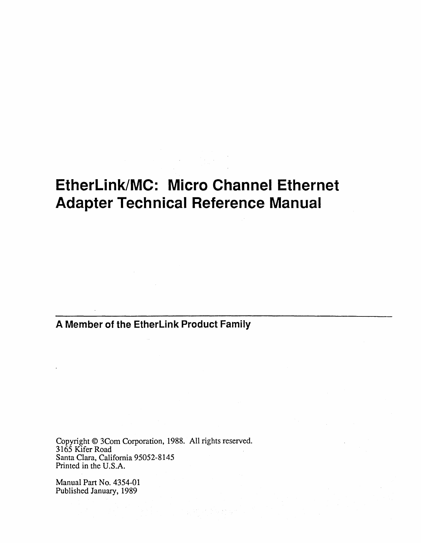# **EtherLink/MC: Micro Channel Ethernet Adapter Technical Reference Manual**

**A Member of the EtherLink Product Family** 

Copyright © 3Com Corporation, 1988. All rights reserved. 3165 Kifer Road Santa Clara, California 95052-8145 Printed in the U.S.A.

Manual Part No. 4354-01 Published January, 1989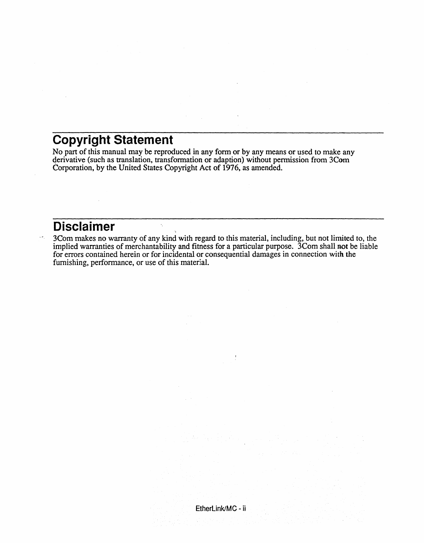## **Copyright Statement**

No part of this manual may be reproduced in any form or by any means or used to make any derivative (such as translation, transformation or adaption) without permission from 3Com Corporation, by the United States Copyright Act of 1976, as amended.

 $\ddot{\mathcal{L}}$ 

### **Disclaimer**

3Com makes no warranty of any kind with regard to this material, including, but not limited to, the implied warranties of merchantability and fitness for a particular purpose. 3Com shall not be liable for errors contained herein or for incidental or consequential damages in connection with the furnishing, performance, or use of this material.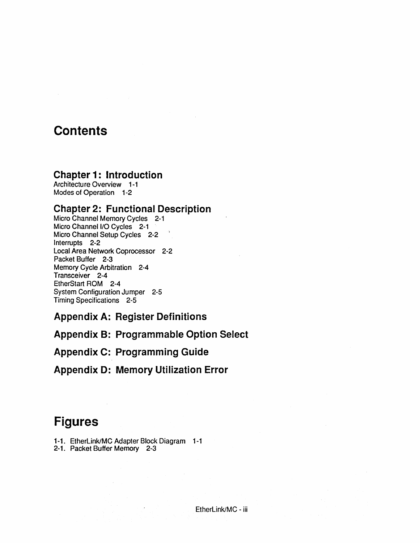### **Contents**

#### **Chapter 1: Introduction**

Architecture Overview 1-1 Modes of Operation 1-2

#### **Chapter 2: Functional Description**

Micro Channel Memory Cycles 2-1 Micro Channel I/O Cycles 2-1 Micro Channel Setup Cycles 2-2 Interrupts 2-2 Local Area Network Coprocessor 2-2 Packet Buffer 2-3 Memory Cycle Arbitration 2-4 Transceiver 2-4 EtherStart ROM 2-4 System Configuration Jumper 2-5 Timing Specifications 2-5

**Appendix A: Register Definitions** 

**Appendix B: Programmable Option Select** 

**Appendix C: Programming Guide** 

**Appendix D: Memory Utilization Error** 

### **Figures**

- 1-1. EtherLink/MC Adapter Block Diagram 1-1
- 2-1. Packet Buffer Memory 2-3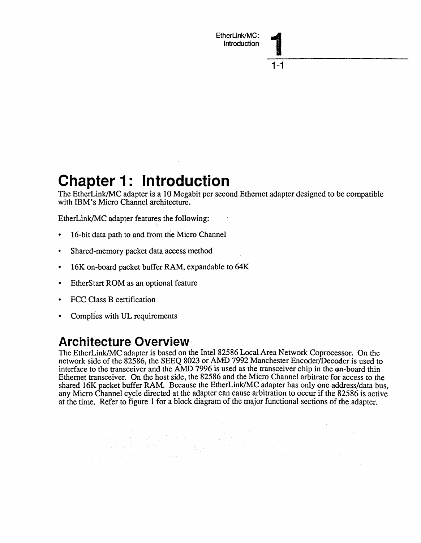# **Chapter 1: Introduction**

The EtherLink/MC adapter is a 10 Megabit per second Ethernet adapter designed to be compatible with IBM's Micro Channel architecture.

EtherLink/MC adapter features the following:

- 16-bit data path to and from the Micro Channel
- Shared-memory packet data access method
- 16K on-board packet buffer RAM, expandable to 64K

a sa salah sahiji désa di kacamatan Sulawesa.<br>Kacamatan Sulawesa Sulawesa Sulawesa Sulawesa Sulawesa Sulawesa Sulawesa Sulawesa Sulawesa Sulawesa Sulawesa S

- EtherStart ROM as an optional feature
- FCC Class B certification
- Complies with UL requirements

## **Architecture Overview**

The EtherLink/MC adapter is based on the Intel 82586 Local Area Network Coprocessor. On the network side of the 82586, the SEEQ 8023 or AMD 7992 Manchester Encoder/Decoder is used to interface to the transceiver and the AMD 7996 is used as the transceiver chip in the on-board thin Ethernet transceiver. On the host side, the 82586 and the Micro Channel arbitrate for access to the shared 16K packet buffer RAM. Because the EtherLink/MC adapter has only one address/data bus, any Micro Channel cycle directed at the adapter can cause arbitration to occur if the 82586 is active at the time. Refer to figure 1 for a block diagram of the major functional sections of the adapter.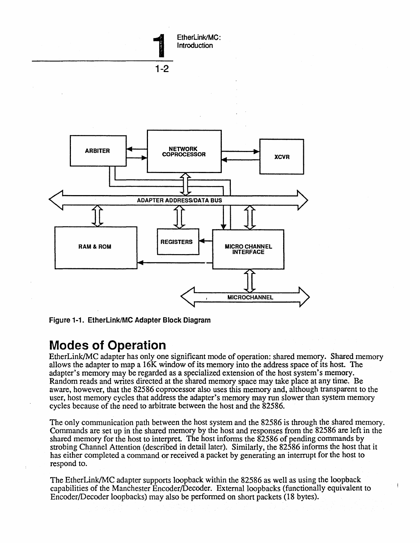

Figure 1-1. EtherLink/MC Adapter Block Diagram

#### **Modes of Operation**

EtherLink/MC adapter has only one significant mode of operation: shared memory. Shared memory allows the adapter to map a 16K window of its memory into the address space of its host. The adapter's memory may be regarded as a specialized extension of the host system's memory. Random reads and writes directed at the shared memory space may take place at any time. Be aware, however, that the 82586 coprocessor also uses this memory and, although transparent to the user, host memory cycles that address the adapter's memory may run slower than system memory cycles because of the need to arbitrate between the host and the 82586.

The only communication path between the host system and the 82586 is through the shared memory. Commands are set up in the shared memory by the host and responses from the 82586 are left in the shared memory for the host to interpret. The host informs the 82586 of pending commands by strobing Channel Attention (described in detail later). Similarly, the 82586 informs the host that it has either completed a command or received a packet by generating an interrupt for the host to respond to.

The EtherLink/MC adapter supports loopback within the 82586 as well as using the loopback capabilities of the Manchester Encoder/Decoder. External loopbacks (functionally equivalent to EncoderlDecoder loopbacks) may also be performed on short packets (18 bytes).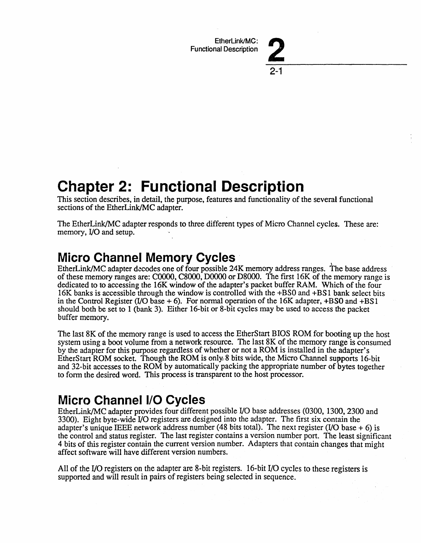EtherLink/MC: Functional Description



**Chapter 2: Functional Description** 

This section describes, in detail, the purpose, features and functionality of the several functional sections of the EtherLink/MC adapter.

The EtherLink/MC adapter responds to three different types of Micro Channel cycles. These are: memory, I/O and setup.

## **Micro Channel Memory Cycles** .

EtherLink/MC adapter decodes one of four possible 24K memory address ranges. The base address of these memory ranges are: COOOO, C8000, DOOOO or D8000. The fIrst 16K of the memory range is dedicated to to accessing the 16K window of the adapter's packet buffer RAM. Which of the four 16K banks is accessible through the window is controlled with the +BSO and +BS 1 bank select bits in the Control Register (I/O base  $+ 6$ ). For normal operation of the 16K adapter,  $+ BSO$  and  $+ BS1$ should both be set to 1 (bank 3). Either 16-bit or 8-bit cycles may be used to access the packet buffer memory.

The last 8K of the memory range is used to access the EtherStart BIOS ROM for booting up the host system using a boot volume from a network resource. The last 8K of the memory range is consumed by the adapter for this purpose regardless of whether or not a ROM is installed in the adapter's EtherStart ROM socket. Though the ROM is only~8·bits wide, the Micro Channel supports 16-bit and 32-bit accesses to the ROM by automatically packing the appropriate number of bytes together to form the desired word. This process is transparent to the host processor.

## **Micro Channel I/O Cycles**

EtherLink/MC adapter provides four different possible I/O base addresses (0300, 1300, 2300 and 3300). Eight byte-wide I/O registers are designed into the adapter. The first six contain the adapter's unique IEEE network address number (48 bits total). The next register (I/O base  $+$  6) is the control and status register. The last register contains a version number port. The least significant 4 bits of this register contain the current version number. Adapters that contain changes that might affect software will have different version numbers.

All of the I/O registers on the adapter are 8-bit registers. 16-bit I/O cycles to these registers is supported and will result in pairs of registers being selected in sequence.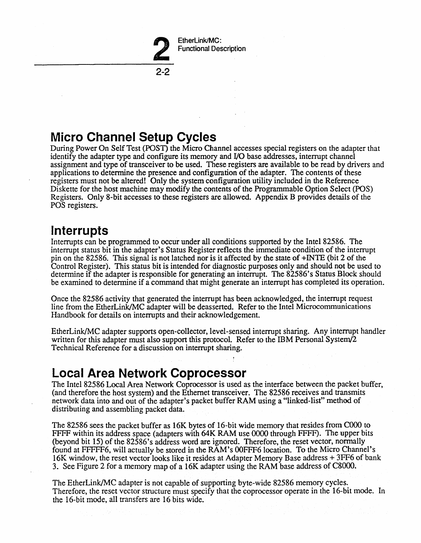

2-2

# **Micro Channel Setup Cycles**

During Power On Self Test (POST) the Micro Channel accesses special registers on the adapter that identify the adapter type and configure its memory and I/O base addresses, interrupt channel assignment and type of transceiver to be used. These registers are available to be read by drivers and applications to determine the presence and configuration of the adapter. The contents of these registers must not be altered! Only the system configuration utility included in the Reference Diskette for the host machine may modify the contents of the Programmable Option Select (POS) Registers. Only 8-bit accesses to these registers are allowed. Appendix B provides details of the POS registers.

### **Interrupts**

Interrupts can be programmed to occur under all conditions supported by the Intel 82586. The interrupt status bit in the adapter's Status Register reflects the immediate condition of the interrupt pin on the 82586. This signal is not latched nor is it affected by the state of +INTE (bit 2 of the Control Register). This status bit is intended for diagnostic purposes only and should not be used to determine if the adapter is responsible for generating an interrupt. The 82586's Status Block should be examined to determine if a command that might generate an interrupt has completed its operation.

Once the 82586 activity that generated the interrupt has been acknowledged, the interrupt request line from the EtherLink/MC adapter will be deasserted. Refer to the Intel Microcommunications Handbook for details on interrupts and their acknowledgement.

EtherLink/MC adapter supports open-collector, level-sensed interrupt sharing. Any interrupt handler written for this adapter must also support this protocol. Refer to the IBM Personal System/2 Technical Reference for a discussion on interrupt sharing.

## **Local Area Network Coprocessor**

The Intel 82586 Local Area Network Coprocessor is used as the interface between the packet buffer, (and therefore the host system) and the Ethernet transceiver. The 82586 receives and transmits network data into and out of the adapter's packet buffer RAM using a "linked-list" method of distributing and assembling packet data.

The 82586 sees the packet buffer as 16K bytes of 16-bit wide memory that resides from COOO to FFFF within its address space (adapters with 64K RAM use 0000 through FFFF). The upper bits (beyond bit 15) of the 82586's address word are ignored. Therefore, the reset vector, normally found at FFFFF6, will actually be stored in the RAM's 00FFF6 location. To the Micro Channel's 16K window, the reset vector looks like it resides at Adapter Memory Base address + 3FF6 of bank 3. See Figure 2 for a memory map of a 16K adapter using the RAM base address of C8000.

The EtherLink/MC adapter is not capable of supporting byte-wide 82586 memory cycles. Therefore, the reset vector structure must specify that the coprocessor operate in the 16-bit mode. In the 16-bit mode, all transfers are 16 bits wide.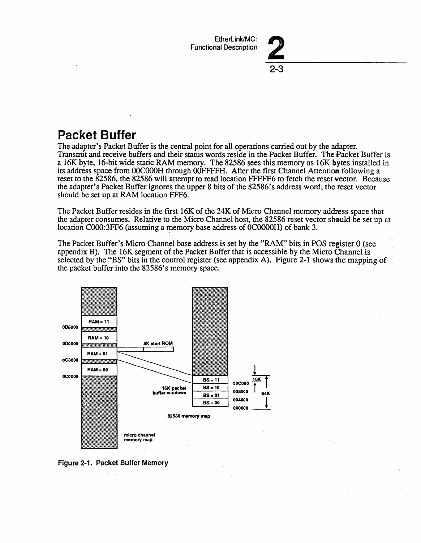EtherLink/MC: Functional Description

2-3

## **Packet Buffer**

The adapter's Packet Buffer is the central point for all operations carried out by the adapter. Transmit and receive buffers and their status words reside in the Packet Buffer. The Packet Buffer is a 16K byte, 16-bit wide static RAM memory. The 82586 sees this memory as 16K bytes installed in its address space from 00C000H through 00FFFFH. After the first Channel Attention following a reset to the 82586, the 82586 will attempt to read location FFFFF6 to fetch the reset vector. Because the adapter's Packet Buffer ignores the upper 8 bits of the *82586's* address word, the reset vector should be set up at RAM location FFF6.

The Packet Buffer resides in the first 16K of the 24K of Micro Channel memory address space that the adapter consumes. Relative to the Micro Channel host, the 82586 reset vector should be set up at location C000:3FF6 (assuming a memory base address of 0C0000H) of bank 3.

The Packet Buffer's Micro Channel base address is set by the "RAM" bits in POS register 0 (see appendix B). The 16K segment of the Packet Buffer that is accessible by the Micro Channel is selected by the "BS" bits in the control register (see appendix A). Figure 2-1 shows the mapping of the packet buffer into the 82586's memory space.



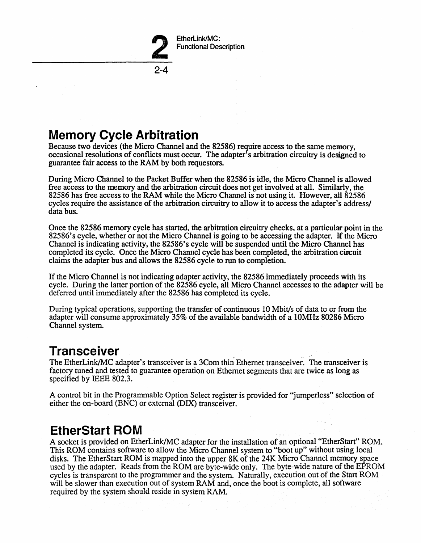

## **Memory Cycle Arbitration**

Because two devices (the Micro Channel and the 82586) require access to the same memory, occasional resolutions of conflicts must occur. The adapter's arbitration circuitry is designed to guarantee fair access to the RAM by both requestors.

During Micro Channel to the Packet Buffer when the 82586 is idle, the Micro Channel is allowed free access to the memory and the arbitration circuit does not get involved at all. Similarly, the 82586 has free access to the RAM while the Micro Channel is not using it. However, all 82586 cycles require the assistance of the arbitration circuitry to allow it to access the adapter's address/ data bus.

Once the 82586 memory cycle has started, the arbitration circuitry checks, at a particular point in the *82586's* cycle, whether or not the Micro Channel is going to be accessing the adapter. If the Micro Channel is indicating activity, the *82586's* cycle will be suspended until the Micro Channel has completed its cycle. Once the Micro Channel cycle has been completed, the arbitration circuit claims the adapter bus and allows the 82586 cycle to run to completion.

If the Micro Channel is not indicating adapter activity, the 82586 immediately proceeds with its cycle. During the latter portion of the 82586 cycle, all Micro Channel accesses to the adapter will be deferred until immediately after the 82586 has completed its cycle.

During typical operations, supporting the transfer of continuous 10 Mbit/s of data to or from the adapter will consume approximately 35% of the available bandwidth of a lOMHz 80286 Micro Channel system.

### **Transceiver**

The EtherLink/MC adapter's transceiver is a 3Com thin Ethernet transceiver. The transceiver is factory tuned and tested to guarantee operation on Ethernet segments that are twice as long as specified by IEEE 802.3.

A control bit in the Programmable Option Select register is provided for "jumperless" selection of either the on-board (BNC) or external (DIX) transceiver.

### **EtherStart ROM**

A socket is provided on EtherLink/MC adapter for the installation of an optional "EtherStart" ROM. This ROM contains software to allow the Micro Channel system to "boot up" without using local disks. The EtherStart ROM is mapped into the upper 8K of the 24K Micro Channel memory space used by the adapter. Reads from the ROM are byte-wide only. The byte-wide nature of the EPROM cycles is transparent to the programmer and the system. Naturally, execution out of the Start ROM will be slower than execution out of system RAM and, once the boot is complete, all software required by the system should reside in system RAM.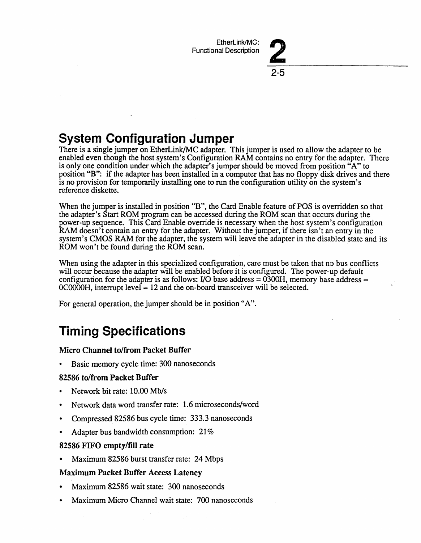2-5



There is a single jumper on EtherLink/MC adapter. This jumper is used to allow the adapter to be enabled even though the host system's Configuration RAM contains no entry for the adapter. There is only one condition under which the adapter's jumper should be moved from position "A" to position "B": if the adapter has been installed in a computer that has no floppy disk drives and there is no provision for temporarily installing one to run the configuration utility on the system's reference diskette.

When the jumper is installed in position "B", the Card Enable feature of POS is overridden so that the adapter's Start ROM program can be accessed during the ROM scan that occurs during the power-up sequence. This Card Enable override is necessary when the host system's configuration RAM doesn't contain an entry for the adapter. Without the jumper, if there isn't an entry in the system's CMOS RAM for the adapter, the system will leave the adapter in the disabled state and its ROM won't be found during the ROM scan.

When using the adapter in this specialized configuration, care must be taken that no bus conflicts will occur because the adapter will be enabled before it is configured. The power-up default configuration for the adapter is as follows: I/O base address =  $0300H$ , memory base address =  $OCOOOH$ , interrupt level = 12 and the on-board transceiver will be selected.

For general operation, the jumper should be in position "A".

# **Timing Specifications**

#### Micro Channel to/from Packet Buffer

Basic memory cycle time: 300 nanoseconds

#### 82586 to/from Packet Buffer

- Network bit rate: 10.00 Mb/s
- Network data word transfer rate: 1.6 microseconds/word
- Compressed 82586 bus cycle time: 333.3 nanoseconds
- Adapter bus bandwidth consumption: 21%

#### 82586 FIFO empty/fill rate

Maximum 82586 burst transfer rate: 24 Mbps

#### Maximum Packet Buffer Access Latency

- Maximum 82586 wait state: 300 nanoseconds
- Maximum Micro Channel wait state: 700 nanoseconds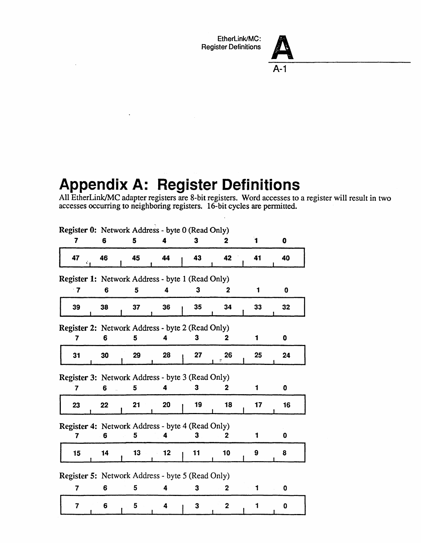EtherLink/MC: Register Definitions



# Appendix A: **Register Definitions**

All EtherLink/MC adapter registers are 8-bit registers. Word accesses to a register will result in two accesses occurring to neighboring registers. 16-bit cycles are pennitted.

| Register 0: Network Address - byte 0 (Read Only) |    |    |                 |    |                |    |                 |
|--------------------------------------------------|----|----|-----------------|----|----------------|----|-----------------|
| 7                                                | 6  | 5  |                 | 3  | 2              | 1  | 0               |
| 47                                               | 46 | 45 | 44              | 43 | 42             | 41 | 40              |
| Register 1: Network Address - byte 1 (Read Only) |    |    |                 |    |                |    |                 |
| $\cdot$ 7                                        | 6  | 5  | 4               | 3  | $\mathbf 2$    | 1  | 0               |
| 39                                               | 38 | 37 | 36              | 35 | 34             | 33 | 32 <sub>2</sub> |
| Register 2: Network Address - byte 2 (Read Only) |    |    |                 |    |                |    |                 |
| 7                                                | 6  | 5  | 4               | 3  | 2              | 1  | 0               |
| 31                                               | 30 | 29 | 28              | 27 | 26             | 25 | 24              |
| Register 3: Network Address - byte 3 (Read Only) |    |    |                 |    |                |    |                 |
| 7                                                | 6  | 5  |                 | 3  | 2              | 1  | 0               |
| 23                                               | 22 | 21 | 20              | 19 | 18             | 17 | 16              |
| Register 4: Network Address - byte 4 (Read Only) |    |    |                 |    |                |    |                 |
| 7                                                | 6  | 5  |                 | 3  | 2              | 1  | 0               |
| 15                                               | 14 | 13 | 12 <sub>2</sub> | 11 | 10             | 9  | 8               |
| Register 5: Network Address - byte 5 (Read Only) |    |    |                 |    |                |    |                 |
| 7                                                | 6  | 5  | 4               | 3  | 2              | 1  | 0               |
| 7                                                | 6  | 5  | 4               | 3  | $\overline{2}$ |    | 0               |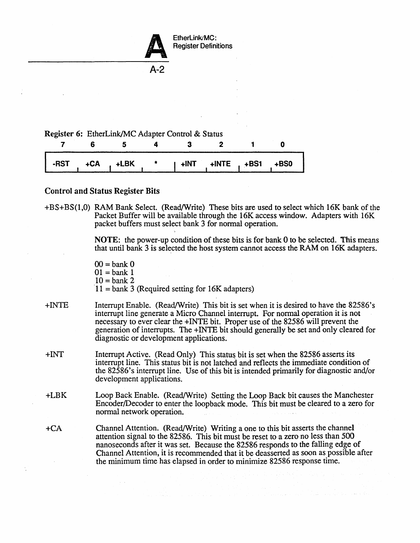

Register Definitions

A-2

#### Register 6: EtherLink/MC Adapter Control & Status

|  |  | -RST   +CA <sub> </sub> +LBK   *   +INT   +INTE <sub> </sub> +BS1 <sub> </sub> +BS0 |  |  |
|--|--|-------------------------------------------------------------------------------------|--|--|

#### Control and Status Register Bits

 $\alpha$  ,  $\alpha$ 

+BS+BS(1,0) RAM Bank Select. (Read/Write) These bits are used to select which 16K bank of the Packet Buffer will be available through the 16K access window. Adapters with 16K packet buffers must select bank 3 for normal operation.

> NOTE: the power-up condition of these bits is for bank 0 to be selected. This means that until bank 3 is selected the host system cannot access the RAM on 16K adapters.

- $00 =$ bank  $0$  $01 =$ bank 1  $10 =$  bank 2
- $11 =$  bank 3 (Required setting for 16K adapters)
- +INTE Interrupt Enable. (Read/Write) This bit is set when it is desired to have the 82586's interrupt line generate a Micro Channel interrupt. For normal operation it is not necessary to ever clear the +INTE bit. Proper use of the 82586 will prevent the generation of interrupts. The +INTE bit should generally be set and only cleared for diagnostic or development applications.
- +INT Interrupt Active. (Read Only) This status bit is set when the 82586 asserts its interrupt line. This status bit is not latched and reflects the immediate condition of the 82586's interrupt line. Use of this bit is intended primarily for diagnostic and/or development applications.
- +LBK Loop Back Enable. (Read/Write) Setting the Loop Back bit causes the Manchester Encoder/Decoder to enter the loopback mode. This bit must be cleared to a zero for normal network operation.
- +CA Channel Attention. (Read/Write) Writing a one to this bit asserts the channel attention signal to the 82586. This bit must be reset to a zero no less than 500 nanoseconds after it was set. Because the 82586 responds to the falling edge of Channel Attention, it is recommended that it be deasserted as soon as possible after the minimum time has elapsed in order to minimize 82586 response time.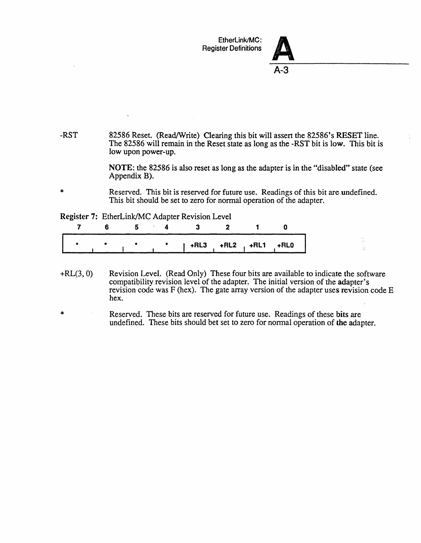



 $\frac{m_{\tilde{g}}}{g\tilde{g}}$  $\frac{1}{2\sqrt{2}}$ 

-RST 82586 Reset. (Read/Write) Clearing this bit will assert the 82586's RESET line. The 82586 will remain in the Reset state as long as the -RST bit is low. This bit is low upon power-up.

> NOTE: the 82586 is also reset as long as the adapter is in the "disabled" state (see Appendix B).

Reserved. This bit is reserved for future use. Readings of this bit are undefined. This bit should be set to zero for normal operation of the adapter.

Register 7: EtherLink/MC Adapter Revision Level

\*

|  |  | $\uparrow$ +RL3 +RL2 +RL1 +RL0 |  |  |
|--|--|--------------------------------|--|--|

- $+RL(3, 0)$ Revision Level. (Read Only) These four bits are available to indicate the software compatibility revision level of the adapter. The initial version of the adapter's revision code was  $F$  (hex). The gate array version of the adapter uses revision code  $E$ hex.
- \* Reserved. These bits are reserved for future use. Readings of these bits are undefined. These bits should bet set to zero for normal operation of the adapter.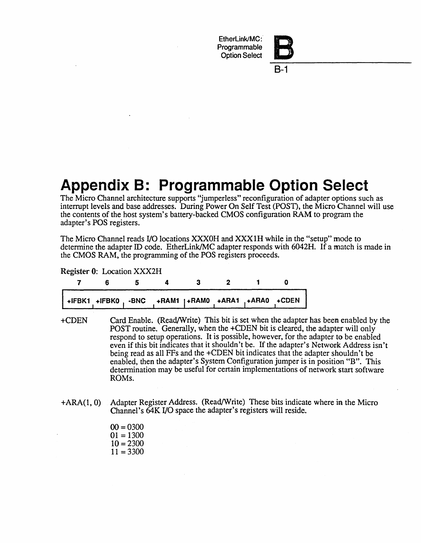EtherLink/MC: **Programmable** Option Select



8-1

# **Appendix B: Programmable Option Select**

The Micro Channel architecture supports "jumperless" reconfiguration of adapter options such as interrupt levels and base addresses. During Power On Self Test (POST), the Micro Channel will use the contents of the host system's battery-backed CMOS configuration RAM to program the adapter's POS registers.

The Micro Channel reads I/O locations XXXOH and XXX IH while in the "setup" mode to determine the adapter ID code. EtherLink/MC adapter responds with 6042H. If a match is made in the CMOS RAM, the programming of the POS registers proceeds.

Register 0: Location XXX2H

|  | +IFBK1 +IFBK0, -BNC +RAM1   +RAM0 +ARA1 +ARA0 +CDEN |  |  |
|--|-----------------------------------------------------|--|--|

- +CDEN Card Enable. (Read/Write) This bit is set when the adapter has been enabled by the POST routine. Generally, when the +CDEN bit is cleared, the adapter will only respond to setup operations. It is possible, however, for the adapter to be enabled even if this bit indicates that it shouldn't be. If the adapter's Network Address isn't being read as all FFs and the +CDEN bit indicates that the adapter shouldn't be enabled, then the adapter's System Configuration jumper is in position "B". This determination may be useful for certain implementations of network start software ROMs.
- +ARA(I,O) Adapter Register Address. (Read/Write) These bits indicate where in the Micro Channel's 64K I/O space the adapter's registers will reside.

 $00 = 0300$  $01 = 1300$  $10 = 2300$  $11 = 3300$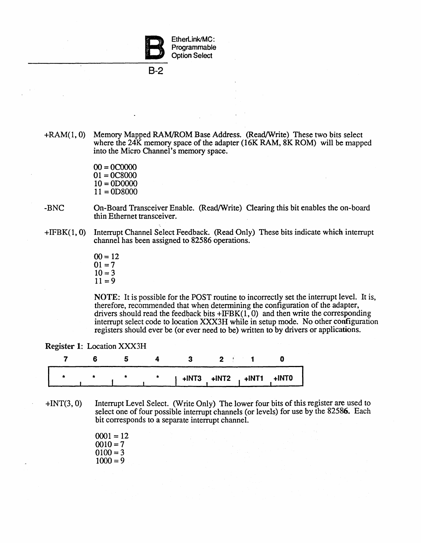

8-2

+RAM(1,0) Memory Mapped RAM/ROM Base Address. (Read/Write) These two bits select where the 24K memory space of the adapter (16K RAM, 8K ROM) will be mapped into the Micro Channel's memory space.

> $00 = 0C0000$  $01 = 0C8000$  $10 = 0D0000$  $11 = 0D8000$

- -BNC On-Board Transceiver Enable. (Read/Write) Clearing this bit enables the on-board thin Ethernet transceiver.
- +IFBK(l,O) Interrupt Channel Select Feedback. (Read Only) These bits indicate which interrupt channel has been assigned to 82586 operations.
	- $00 = 12$  $01 = 7$  $10=3$  $11 = 9$

NOTE: It is possible for the POST routine to incorrectly set the interrupt level. It is, therefore, recommended that when determining the configuration of the adapter, drivers should read the feedback bits  $+IFBK(1, 0)$  and then write the corresponding interrupt select code to location XXX3H while in setup mode. No other configuration registers should ever be (or ever need to be) written to by drivers or applications.

|  |  | $+INT3$ $+INT2$ $+INT1$ $+INT0$ |  |
|--|--|---------------------------------|--|

- +INT(3, 0) Interrupt Level Select. (Write Only) The lower four bits of this register are used to select one of four possible interrupt channels (or levels) for use by the 82586. Each bit corresponds to a separate interrupt channel.
	- $0001 = 12$  $0010=7$  $0100 = 3$  $1000 = 9$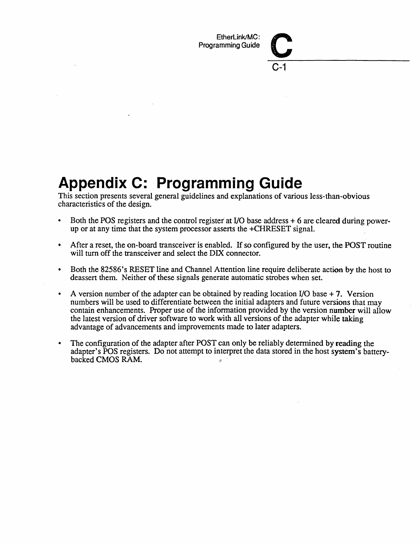EtherLink/MC:<br>Programming Guide

C-1

# **Appendix C: Programming Guide**

This section presents several general guidelines and explanations of various less-than-obvious characteristics of the design.

- Both the POS registers and the control register at I/O base address + 6 are cleared during powerup or at any time that the system processor asserts the +CHRESET signal.
- After a reset, the on-board transceiver is enabled. If so configured by the user, the POST routine will turn off the transceiver and select the DIX connector.
- Both the 82586's RESET line and Channel Attention line require deliberate action by the host to deassert them. Neither of these signals generate automatic strobes when set.
- A version number of the adapter can be obtained by reading location I/O base  $+7$ . Version numbers will be used to differentiate between the initial adapters and future versions that may contain enhancements. Proper use of the information provided by the version number will allow the latest version of driver software to work with all versions of the adapter while taking advantage of advancements and improvements made to later adapters.
- The configuration of the adapter after POST can only be reliably determined by reading the adapter's POS registers. Do not attempt to interpret the data stored in the host system's batterybacked CMOS RAM.  $\Omega$